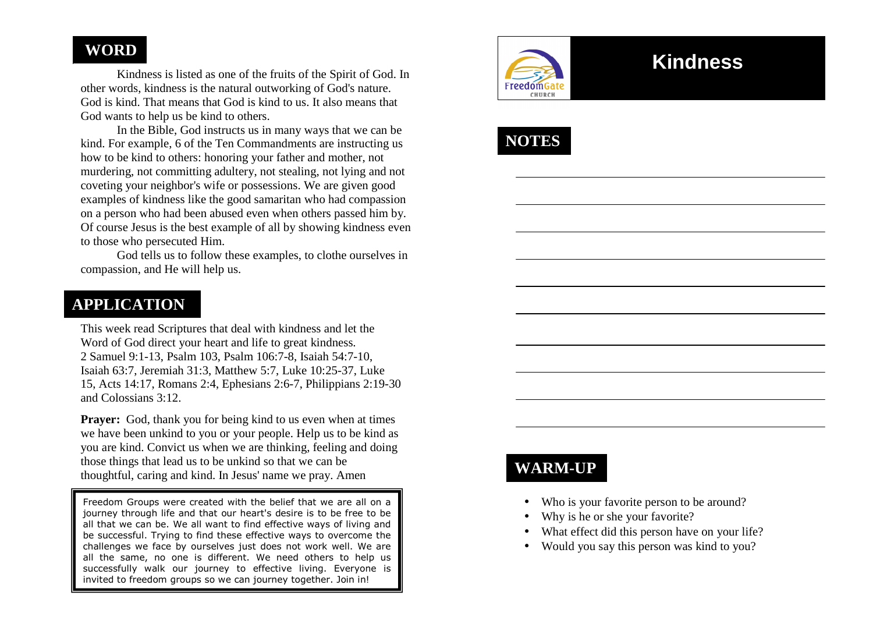# **WORD**

 Kindness is listed as one of the fruits of the Spirit of God. In other words, kindness is the natural outworking of God's nature. God is kind. That means that God is kind to us. It also means that God wants to help us be kind to others.

 In the Bible, God instructs us in many ways that we can be kind. For example, 6 of the Ten Commandments are instructing us how to be kind to others: honoring your father and mother, not murdering, not committing adultery, not stealing, not lying and not coveting your neighbor's wife or possessions. We are given good examples of kindness like the good samaritan who had compassion on a person who had been abused even when others passed him by. Of course Jesus is the best example of all by showing kindness even to those who persecuted Him.

 God tells us to follow these examples, to clothe ourselves in compassion, and He will help us.

## **APPLICATION**

This week read Scriptures that deal with kindness and let the Word of God direct your heart and life to great kindness. 2 Samuel 9:1-13, Psalm 103, Psalm 106:7-8, Isaiah 54:7-10, Isaiah 63:7, Jeremiah 31:3, Matthew 5:7, Luke 10:25-37, Luke 15, Acts 14:17, Romans 2:4, Ephesians 2:6-7, Philippians 2:19-30 and Colossians 3:12.

**Prayer:** God, thank you for being kind to us even when at times we have been unkind to you or your people. Help us to be kind as you are kind. Convict us when we are thinking, feeling and doing those things that lead us to be unkind so that we can be thoughtful, caring and kind. In Jesus' name we pray. Amen

Freedom Groups were created with the belief that we are all on a journey through life and that our heart's desire is to be free to be all that we can be. We all want to find effective ways of living and be successful. Trying to find these effective ways to overcome the challenges we face by ourselves just does not work well. We are all the same, no one is different. We need others to help us successfully walk our journey to effective living. Everyone is invited to freedom groups so we can journey together. Join in!



# **Kindness**



# **WARM-UP**

- Who is your favorite person to be around?
- •Why is he or she your favorite?
- •What effect did this person have on your life?
- Would you say this person was kind to you?